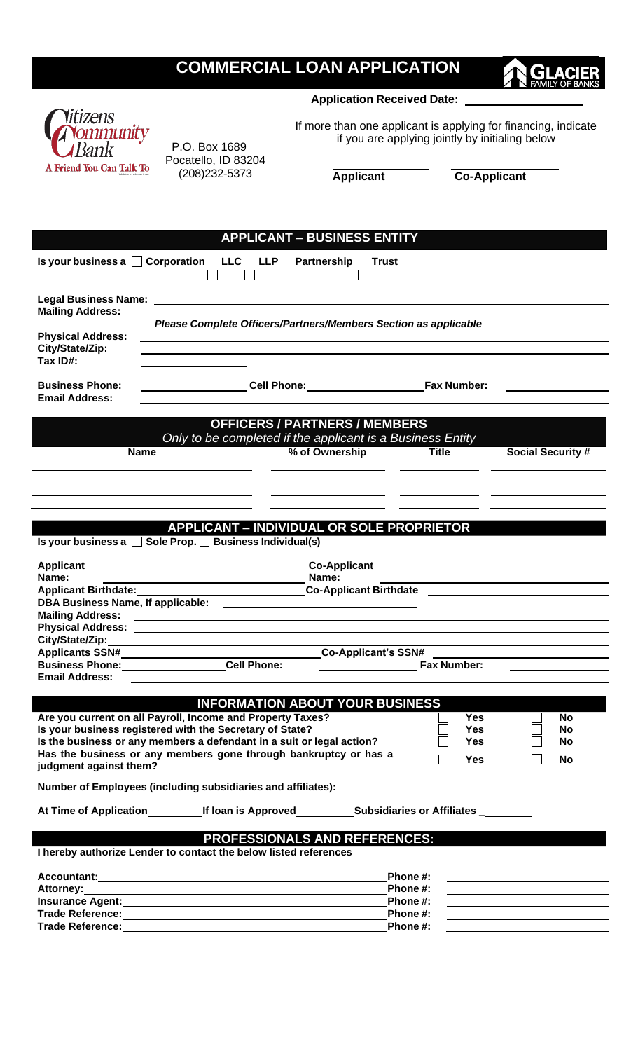# **COMMERCIAL LOAN APPLICATION**

**Application Received Date:** 

If more than one applicant is applying for financing, indicate if you are applying jointly by initialing below

**Applicant Co-Applicant**

| <b>APPLICANT - BUSINESS ENTITY</b>                                                                       |                                                                                                               |                                                         |                                                                                                                       |  |  |  |  |  |  |
|----------------------------------------------------------------------------------------------------------|---------------------------------------------------------------------------------------------------------------|---------------------------------------------------------|-----------------------------------------------------------------------------------------------------------------------|--|--|--|--|--|--|
|                                                                                                          | Is your business a □ Corporation LLC LLP<br>Partnership                                                       | <b>Trust</b>                                            |                                                                                                                       |  |  |  |  |  |  |
| <b>Mailing Address:</b>                                                                                  |                                                                                                               |                                                         |                                                                                                                       |  |  |  |  |  |  |
|                                                                                                          | Please Complete Officers/Partners/Members Section as applicable                                               |                                                         |                                                                                                                       |  |  |  |  |  |  |
| <b>Physical Address:</b><br>City/State/Zip:<br>Tax ID#:                                                  |                                                                                                               |                                                         |                                                                                                                       |  |  |  |  |  |  |
| <b>Business Phone:</b><br><b>Email Address:</b>                                                          |                                                                                                               | Cell Phone: Fax Number:                                 |                                                                                                                       |  |  |  |  |  |  |
| <b>OFFICERS / PARTNERS / MEMBERS</b><br>Only to be completed if the applicant is a Business Entity       |                                                                                                               |                                                         |                                                                                                                       |  |  |  |  |  |  |
| <b>Name</b>                                                                                              |                                                                                                               | <b>Title</b><br>% of Ownership                          | <b>Social Security #</b>                                                                                              |  |  |  |  |  |  |
|                                                                                                          |                                                                                                               |                                                         |                                                                                                                       |  |  |  |  |  |  |
|                                                                                                          |                                                                                                               |                                                         |                                                                                                                       |  |  |  |  |  |  |
|                                                                                                          | <b>APPLICANT - INDIVIDUAL OR SOLE PROPRIETOR</b><br>Is your business a Sole Prop. Business Individual(s)      |                                                         |                                                                                                                       |  |  |  |  |  |  |
| <b>Applicant</b>                                                                                         | <b>Co-Applicant</b>                                                                                           |                                                         |                                                                                                                       |  |  |  |  |  |  |
| Name:                                                                                                    | Name:                                                                                                         |                                                         |                                                                                                                       |  |  |  |  |  |  |
| <b>Applicant Birthdate:</b>                                                                              |                                                                                                               | <b>Co-Applicant Birthdate Co-Applicant Birthdate</b>    |                                                                                                                       |  |  |  |  |  |  |
|                                                                                                          |                                                                                                               |                                                         |                                                                                                                       |  |  |  |  |  |  |
| <b>Mailing Address:</b>                                                                                  | <u> 1989 - Jan Barnett, fransk politiker (d. 1989)</u>                                                        |                                                         |                                                                                                                       |  |  |  |  |  |  |
|                                                                                                          |                                                                                                               |                                                         |                                                                                                                       |  |  |  |  |  |  |
|                                                                                                          |                                                                                                               |                                                         |                                                                                                                       |  |  |  |  |  |  |
| Applicants SSN#__________________                                                                        |                                                                                                               | Co-Applicant's SSN#                                     |                                                                                                                       |  |  |  |  |  |  |
|                                                                                                          | Business Phone: Cell Phone:                                                                                   | <b>Fax Number:</b><br><u> Albanya (Albanya Albanya)</u> |                                                                                                                       |  |  |  |  |  |  |
| <b>Email Address:</b>                                                                                    |                                                                                                               |                                                         |                                                                                                                       |  |  |  |  |  |  |
|                                                                                                          | <b>INFORMATION ABOUT YOUR BUSINESS</b>                                                                        |                                                         |                                                                                                                       |  |  |  |  |  |  |
|                                                                                                          | Are you current on all Payroll, Income and Property Taxes?                                                    | <b>Yes</b>                                              | No                                                                                                                    |  |  |  |  |  |  |
|                                                                                                          | Is your business registered with the Secretary of State?                                                      | Yes                                                     | No                                                                                                                    |  |  |  |  |  |  |
|                                                                                                          | Is the business or any members a defendant in a suit or legal action?                                         | <b>Yes</b>                                              | No                                                                                                                    |  |  |  |  |  |  |
| judgment against them?                                                                                   | Has the business or any members gone through bankruptcy or has a                                              | <b>Yes</b>                                              | No                                                                                                                    |  |  |  |  |  |  |
|                                                                                                          | Number of Employees (including subsidiaries and affiliates):                                                  |                                                         |                                                                                                                       |  |  |  |  |  |  |
|                                                                                                          | At Time of Application_____________If loan is Approved___________________________                             |                                                         |                                                                                                                       |  |  |  |  |  |  |
| <b>PROFESSIONALS AND REFERENCES:</b><br>I hereby authorize Lender to contact the below listed references |                                                                                                               |                                                         |                                                                                                                       |  |  |  |  |  |  |
|                                                                                                          |                                                                                                               | Phone #:                                                |                                                                                                                       |  |  |  |  |  |  |
|                                                                                                          |                                                                                                               | Phone #:                                                |                                                                                                                       |  |  |  |  |  |  |
|                                                                                                          | Insurance Agent: 1999 March 2008 March 2009 March 2009 March 2009 March 2009 March 2009 March 2009 March 2009 | Phone #:                                                | <u> 1989 - Johann Harry Harry Harry Harry Harry Harry Harry Harry Harry Harry Harry Harry Harry Harry Harry Harry</u> |  |  |  |  |  |  |
| <b>Trade Reference:</b>                                                                                  |                                                                                                               | Phone #:                                                |                                                                                                                       |  |  |  |  |  |  |

**Trade Reference:** Phone #:

litizens **Ommunity** 3ank

A Friend You Can Talk To

P.O. Box 1689 Pocatello, ID 83204 (208)232-5373

cΠ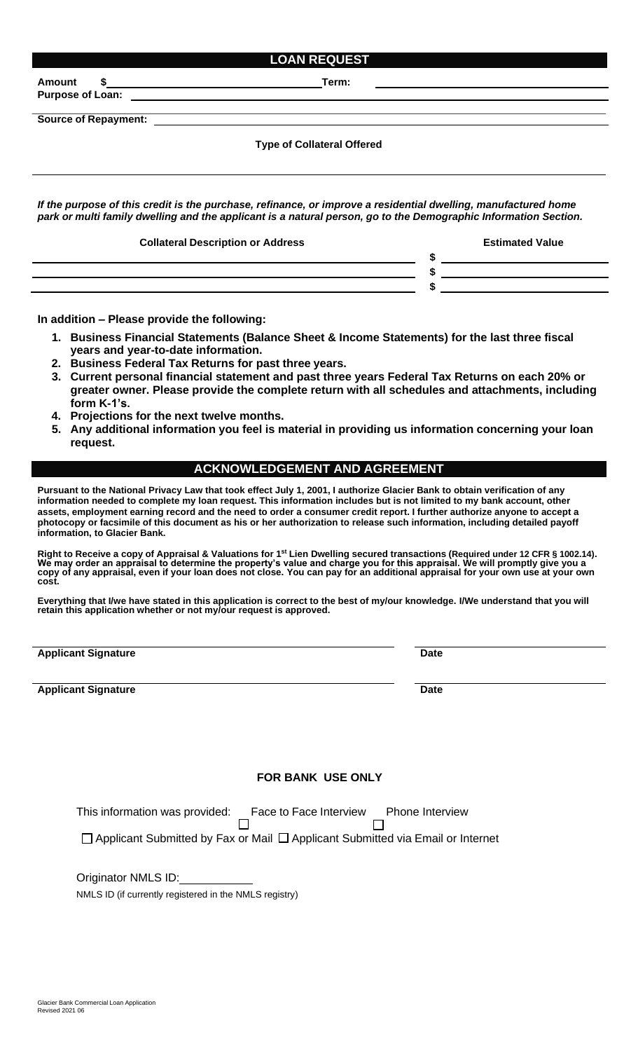| <b>LOAN REQUEST</b>                                                                                                                                                                                                               |                                                                                                                                                                                                                                                                                                                     |  |  |  |  |  |
|-----------------------------------------------------------------------------------------------------------------------------------------------------------------------------------------------------------------------------------|---------------------------------------------------------------------------------------------------------------------------------------------------------------------------------------------------------------------------------------------------------------------------------------------------------------------|--|--|--|--|--|
| Amount                                                                                                                                                                                                                            | <u> 1980 - Johann John Stone, markin film yn y brening yn y brening yn y brening y brening yn y brening y brenin</u>                                                                                                                                                                                                |  |  |  |  |  |
|                                                                                                                                                                                                                                   |                                                                                                                                                                                                                                                                                                                     |  |  |  |  |  |
|                                                                                                                                                                                                                                   |                                                                                                                                                                                                                                                                                                                     |  |  |  |  |  |
| <b>Type of Collateral Offered</b>                                                                                                                                                                                                 |                                                                                                                                                                                                                                                                                                                     |  |  |  |  |  |
| If the purpose of this credit is the purchase, refinance, or improve a residential dwelling, manufactured home<br>park or multi family dwelling and the applicant is a natural person, go to the Demographic Information Section. |                                                                                                                                                                                                                                                                                                                     |  |  |  |  |  |
| <b>Collateral Description or Address</b>                                                                                                                                                                                          | <b>Estimated Value</b>                                                                                                                                                                                                                                                                                              |  |  |  |  |  |
| <u> 1980 - Andrea Stadt Britain, amerikan bisa di sebagai personal dan personal di sebagai personal di sebagai pe</u>                                                                                                             | $\frac{1}{2}$ $\frac{1}{2}$ $\frac{1}{2}$ $\frac{1}{2}$ $\frac{1}{2}$ $\frac{1}{2}$ $\frac{1}{2}$ $\frac{1}{2}$ $\frac{1}{2}$ $\frac{1}{2}$ $\frac{1}{2}$ $\frac{1}{2}$ $\frac{1}{2}$ $\frac{1}{2}$ $\frac{1}{2}$ $\frac{1}{2}$ $\frac{1}{2}$ $\frac{1}{2}$ $\frac{1}{2}$ $\frac{1}{2}$ $\frac{1}{2}$ $\frac{1}{2}$ |  |  |  |  |  |
|                                                                                                                                                                                                                                   | $\frac{1}{\sqrt{2}}$                                                                                                                                                                                                                                                                                                |  |  |  |  |  |
|                                                                                                                                                                                                                                   |                                                                                                                                                                                                                                                                                                                     |  |  |  |  |  |
|                                                                                                                                                                                                                                   |                                                                                                                                                                                                                                                                                                                     |  |  |  |  |  |

**In addition – Please provide the following:**

- **1. Business Financial Statements (Balance Sheet & Income Statements) for the last three fiscal years and year-to-date information.**
- **2. Business Federal Tax Returns for past three years.**
- **3. Current personal financial statement and past three years Federal Tax Returns on each 20% or greater owner. Please provide the complete return with all schedules and attachments, including form K-1's.**
- **4. Projections for the next twelve months.**
- **5. Any additional information you feel is material in providing us information concerning your loan request.**

#### **ACKNOWLEDGEMENT AND AGREEMENT**

**Pursuant to the National Privacy Law that took effect July 1, 2001, I authorize Glacier Bank to obtain verification of any information needed to complete my loan request. This information includes but is not limited to my bank account, other assets, employment earning record and the need to order a consumer credit report. I further authorize anyone to accept a photocopy or facsimile of this document as his or her authorization to release such information, including detailed payoff information, to Glacier Bank.**

Right to Receive a copy of Appraisal & Valuations for 1st Lien Dwelling secured transactions (Required under 12 CFR § 1002.14). **We may order an appraisal to determine the property's value and charge you for this appraisal. We will promptly give you a copy of any appraisal, even if your loan does not close. You can pay for an additional appraisal for your own use at your own cost.**

**Everything that I/we have stated in this application is correct to the best of my/our knowledge. I/We understand that you will retain this application whether or not my/our request is approved.**

**Applicant Signature Date** 

**Applicant Signature Date** 

### **FOR BANK USE ONLY**

This information was provided: Face to Face Interview Phone Interview Phone Interview П

 $\Box$  Applicant Submitted by Fax or Mail  $\Box$  Applicant Submitted via Email or Internet

Originator NMLS ID:

NMLS ID (if currently registered in the NMLS registry)